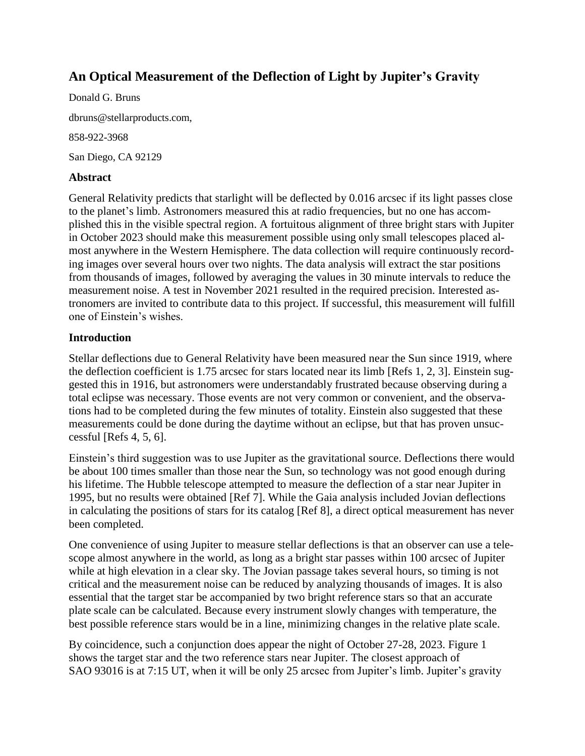# **An Optical Measurement of the Deflection of Light by Jupiter's Gravity**

Donald G. Bruns dbruns@stellarproducts.com, 858-922-3968 San Diego, CA 92129

## **Abstract**

General Relativity predicts that starlight will be deflected by 0.016 arcsec if its light passes close to the planet's limb. Astronomers measured this at radio frequencies, but no one has accomplished this in the visible spectral region. A fortuitous alignment of three bright stars with Jupiter in October 2023 should make this measurement possible using only small telescopes placed almost anywhere in the Western Hemisphere. The data collection will require continuously recording images over several hours over two nights. The data analysis will extract the star positions from thousands of images, followed by averaging the values in 30 minute intervals to reduce the measurement noise. A test in November 2021 resulted in the required precision. Interested astronomers are invited to contribute data to this project. If successful, this measurement will fulfill one of Einstein's wishes.

## **Introduction**

Stellar deflections due to General Relativity have been measured near the Sun since 1919, where the deflection coefficient is 1.75 arcsec for stars located near its limb [Refs 1, 2, 3]. Einstein suggested this in 1916, but astronomers were understandably frustrated because observing during a total eclipse was necessary. Those events are not very common or convenient, and the observations had to be completed during the few minutes of totality. Einstein also suggested that these measurements could be done during the daytime without an eclipse, but that has proven unsuccessful [Refs 4, 5, 6].

Einstein's third suggestion was to use Jupiter as the gravitational source. Deflections there would be about 100 times smaller than those near the Sun, so technology was not good enough during his lifetime. The Hubble telescope attempted to measure the deflection of a star near Jupiter in 1995, but no results were obtained [Ref 7]. While the Gaia analysis included Jovian deflections in calculating the positions of stars for its catalog [Ref 8], a direct optical measurement has never been completed.

One convenience of using Jupiter to measure stellar deflections is that an observer can use a telescope almost anywhere in the world, as long as a bright star passes within 100 arcsec of Jupiter while at high elevation in a clear sky. The Jovian passage takes several hours, so timing is not critical and the measurement noise can be reduced by analyzing thousands of images. It is also essential that the target star be accompanied by two bright reference stars so that an accurate plate scale can be calculated. Because every instrument slowly changes with temperature, the best possible reference stars would be in a line, minimizing changes in the relative plate scale.

By coincidence, such a conjunction does appear the night of October 27-28, 2023. Figure 1 shows the target star and the two reference stars near Jupiter. The closest approach of SAO 93016 is at 7:15 UT, when it will be only 25 arcsec from Jupiter's limb. Jupiter's gravity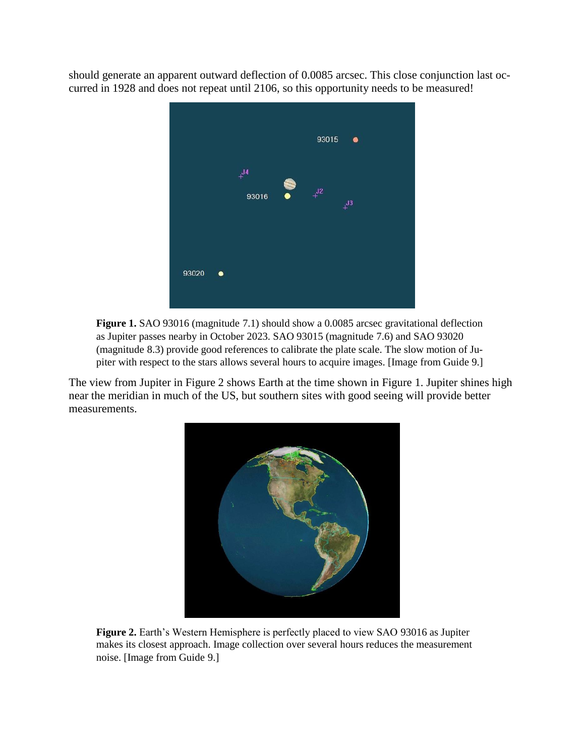should generate an apparent outward deflection of 0.0085 arcsec. This close conjunction last occurred in 1928 and does not repeat until 2106, so this opportunity needs to be measured!



**Figure 1.** SAO 93016 (magnitude 7.1) should show a 0.0085 arcsec gravitational deflection as Jupiter passes nearby in October 2023. SAO 93015 (magnitude 7.6) and SAO 93020 (magnitude 8.3) provide good references to calibrate the plate scale. The slow motion of Jupiter with respect to the stars allows several hours to acquire images. [Image from Guide 9.]

The view from Jupiter in Figure 2 shows Earth at the time shown in Figure 1. Jupiter shines high near the meridian in much of the US, but southern sites with good seeing will provide better measurements.



**Figure 2.** Earth's Western Hemisphere is perfectly placed to view SAO 93016 as Jupiter makes its closest approach. Image collection over several hours reduces the measurement noise. [Image from Guide 9.]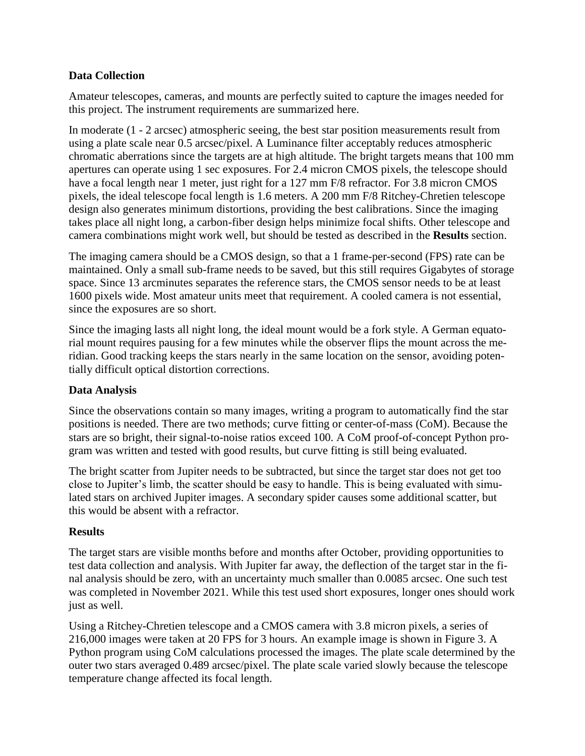## **Data Collection**

Amateur telescopes, cameras, and mounts are perfectly suited to capture the images needed for this project. The instrument requirements are summarized here.

In moderate (1 - 2 arcsec) atmospheric seeing, the best star position measurements result from using a plate scale near 0.5 arcsec/pixel. A Luminance filter acceptably reduces atmospheric chromatic aberrations since the targets are at high altitude. The bright targets means that 100 mm apertures can operate using 1 sec exposures. For 2.4 micron CMOS pixels, the telescope should have a focal length near 1 meter, just right for a 127 mm F/8 refractor. For 3.8 micron CMOS pixels, the ideal telescope focal length is 1.6 meters. A 200 mm F/8 Ritchey-Chretien telescope design also generates minimum distortions, providing the best calibrations. Since the imaging takes place all night long, a carbon-fiber design helps minimize focal shifts. Other telescope and camera combinations might work well, but should be tested as described in the **Results** section.

The imaging camera should be a CMOS design, so that a 1 frame-per-second (FPS) rate can be maintained. Only a small sub-frame needs to be saved, but this still requires Gigabytes of storage space. Since 13 arcminutes separates the reference stars, the CMOS sensor needs to be at least 1600 pixels wide. Most amateur units meet that requirement. A cooled camera is not essential, since the exposures are so short.

Since the imaging lasts all night long, the ideal mount would be a fork style. A German equatorial mount requires pausing for a few minutes while the observer flips the mount across the meridian. Good tracking keeps the stars nearly in the same location on the sensor, avoiding potentially difficult optical distortion corrections.

#### **Data Analysis**

Since the observations contain so many images, writing a program to automatically find the star positions is needed. There are two methods; curve fitting or center-of-mass (CoM). Because the stars are so bright, their signal-to-noise ratios exceed 100. A CoM proof-of-concept Python program was written and tested with good results, but curve fitting is still being evaluated.

The bright scatter from Jupiter needs to be subtracted, but since the target star does not get too close to Jupiter's limb, the scatter should be easy to handle. This is being evaluated with simulated stars on archived Jupiter images. A secondary spider causes some additional scatter, but this would be absent with a refractor.

#### **Results**

The target stars are visible months before and months after October, providing opportunities to test data collection and analysis. With Jupiter far away, the deflection of the target star in the final analysis should be zero, with an uncertainty much smaller than 0.0085 arcsec. One such test was completed in November 2021. While this test used short exposures, longer ones should work just as well.

Using a Ritchey-Chretien telescope and a CMOS camera with 3.8 micron pixels, a series of 216,000 images were taken at 20 FPS for 3 hours. An example image is shown in Figure 3. A Python program using CoM calculations processed the images. The plate scale determined by the outer two stars averaged 0.489 arcsec/pixel. The plate scale varied slowly because the telescope temperature change affected its focal length.